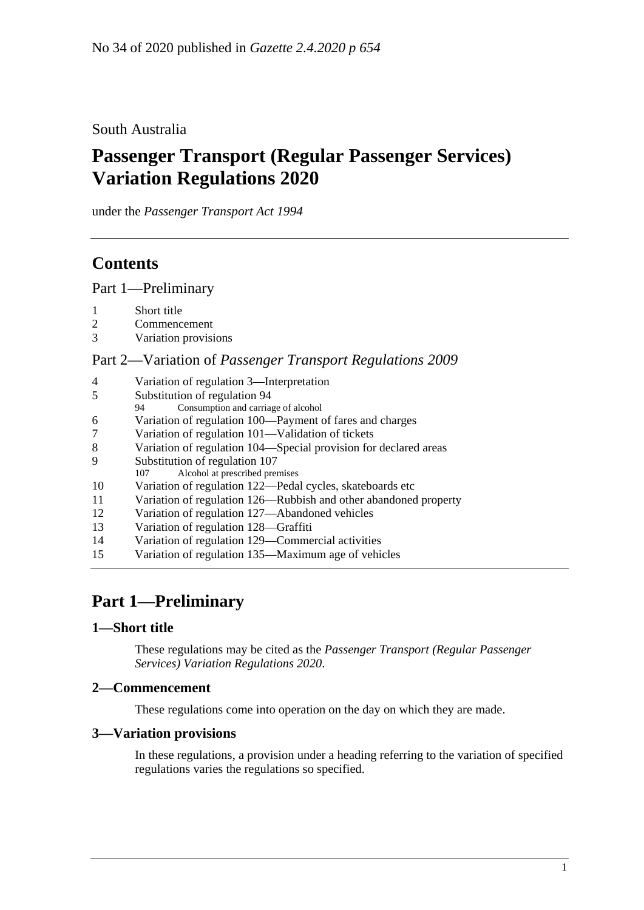## South Australia

# **Passenger Transport (Regular Passenger Services) Variation Regulations 2020**

under the *Passenger Transport Act 1994*

## **Contents**

Part [1—Preliminary](#page-0-0)

- 2 [Commencement](#page-0-2)
- 3 [Variation provisions](#page-0-3)

## Part 2—Variation of *[Passenger Transport Regulations](#page-1-0) 2009*

| $\overline{4}$ | Variation of regulation 3—Interpretation                         |
|----------------|------------------------------------------------------------------|
| 5              | Substitution of regulation 94                                    |
|                | Consumption and carriage of alcohol<br>94.                       |
| 6              | Variation of regulation 100—Payment of fares and charges         |
| $\overline{7}$ | Variation of regulation 101—Validation of tickets                |
| 8              | Variation of regulation 104—Special provision for declared areas |
| 9              | Substitution of regulation 107                                   |
|                | Alcohol at prescribed premises<br>107                            |
| 10             | Variation of regulation 122—Pedal cycles, skateboards etc        |
| -11            | Variation of regulation 126—Rubbish and other abandoned property |
| 12             | Variation of regulation 127—Abandoned vehicles                   |
| 13             | Variation of regulation 128—Graffiti                             |
| 14             | Variation of regulation 129—Commercial activities                |
| 15             | Variation of regulation 135—Maximum age of vehicles              |
|                |                                                                  |

## <span id="page-0-0"></span>**Part 1—Preliminary**

## <span id="page-0-1"></span>**1—Short title**

These regulations may be cited as the *Passenger Transport (Regular Passenger Services) Variation Regulations 2020*.

## <span id="page-0-2"></span>**2—Commencement**

These regulations come into operation on the day on which they are made.

## <span id="page-0-3"></span>**3—Variation provisions**

In these regulations, a provision under a heading referring to the variation of specified regulations varies the regulations so specified.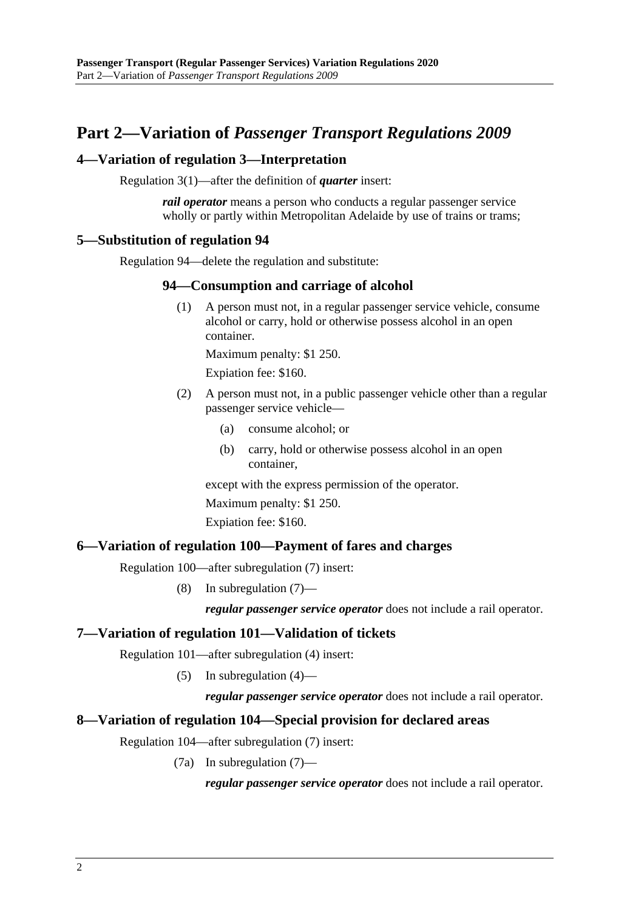## <span id="page-1-0"></span>**Part 2—Variation of** *Passenger Transport Regulations 2009*

#### <span id="page-1-1"></span>**4—Variation of regulation 3—Interpretation**

Regulation 3(1)—after the definition of *quarter* insert:

*rail operator* means a person who conducts a regular passenger service wholly or partly within Metropolitan Adelaide by use of trains or trams;

#### <span id="page-1-2"></span>**5—Substitution of regulation 94**

Regulation 94—delete the regulation and substitute:

#### **94—Consumption and carriage of alcohol**

(1) A person must not, in a regular passenger service vehicle, consume alcohol or carry, hold or otherwise possess alcohol in an open container.

Maximum penalty: \$1 250.

Expiation fee: \$160.

- (2) A person must not, in a public passenger vehicle other than a regular passenger service vehicle—
	- (a) consume alcohol; or
	- (b) carry, hold or otherwise possess alcohol in an open container,

except with the express permission of the operator.

Maximum penalty: \$1 250.

Expiation fee: \$160.

#### <span id="page-1-3"></span>**6—Variation of regulation 100—Payment of fares and charges**

Regulation 100—after subregulation (7) insert:

(8) In subregulation (7)—

*regular passenger service operator* does not include a rail operator.

#### <span id="page-1-4"></span>**7—Variation of regulation 101—Validation of tickets**

Regulation 101—after subregulation (4) insert:

(5) In subregulation (4)—

*regular passenger service operator* does not include a rail operator.

#### <span id="page-1-5"></span>**8—Variation of regulation 104—Special provision for declared areas**

Regulation 104—after subregulation (7) insert:

(7a) In subregulation (7)—

*regular passenger service operator* does not include a rail operator.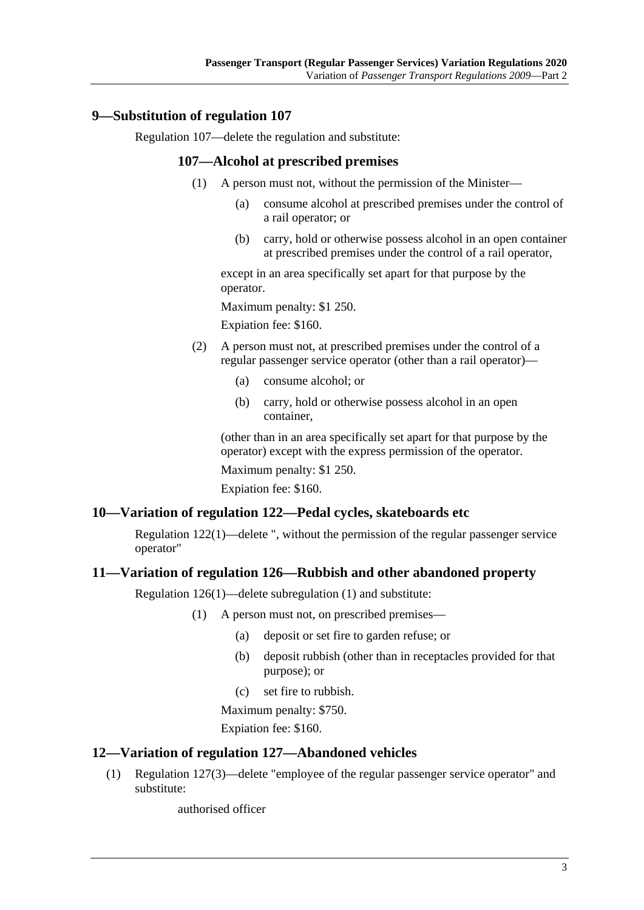## <span id="page-2-0"></span>**9—Substitution of regulation 107**

Regulation 107—delete the regulation and substitute:

### **107—Alcohol at prescribed premises**

- (1) A person must not, without the permission of the Minister—
	- (a) consume alcohol at prescribed premises under the control of a rail operator; or
	- (b) carry, hold or otherwise possess alcohol in an open container at prescribed premises under the control of a rail operator,

except in an area specifically set apart for that purpose by the operator.

Maximum penalty: \$1 250.

Expiation fee: \$160.

- (2) A person must not, at prescribed premises under the control of a regular passenger service operator (other than a rail operator)—
	- (a) consume alcohol; or
	- (b) carry, hold or otherwise possess alcohol in an open container,

(other than in an area specifically set apart for that purpose by the operator) except with the express permission of the operator.

Maximum penalty: \$1 250.

Expiation fee: \$160.

## <span id="page-2-1"></span>**10—Variation of regulation 122—Pedal cycles, skateboards etc**

Regulation 122(1)—delete ", without the permission of the regular passenger service operator"

## <span id="page-2-2"></span>**11—Variation of regulation 126—Rubbish and other abandoned property**

Regulation 126(1)—delete subregulation (1) and substitute:

- (1) A person must not, on prescribed premises—
	- (a) deposit or set fire to garden refuse; or
	- (b) deposit rubbish (other than in receptacles provided for that purpose); or
	- (c) set fire to rubbish.

Maximum penalty: \$750.

Expiation fee: \$160.

## <span id="page-2-3"></span>**12—Variation of regulation 127—Abandoned vehicles**

(1) Regulation 127(3)—delete "employee of the regular passenger service operator" and substitute:

authorised officer